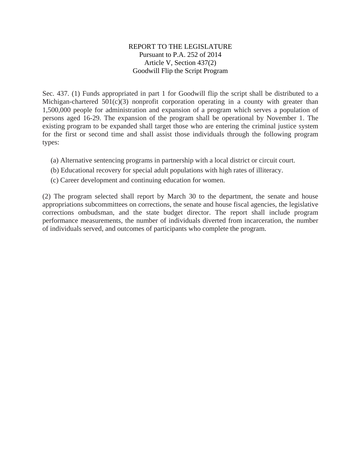## REPORT TO THE LEGISLATURE Pursuant to P.A. 252 of 2014 Article V, Section 437(2) Goodwill Flip the Script Program

Sec. 437. (1) Funds appropriated in part 1 for Goodwill flip the script shall be distributed to a Michigan-chartered  $501(c)(3)$  nonprofit corporation operating in a county with greater than 1,500,000 people for administration and expansion of a program which serves a population of persons aged 16-29. The expansion of the program shall be operational by November 1. The existing program to be expanded shall target those who are entering the criminal justice system for the first or second time and shall assist those individuals through the following program types:

- (a) Alternative sentencing programs in partnership with a local district or circuit court.
- (b) Educational recovery for special adult populations with high rates of illiteracy.
- (c) Career development and continuing education for women.

(2) The program selected shall report by March 30 to the department, the senate and house appropriations subcommittees on corrections, the senate and house fiscal agencies, the legislative corrections ombudsman, and the state budget director. The report shall include program performance measurements, the number of individuals diverted from incarceration, the number of individuals served, and outcomes of participants who complete the program.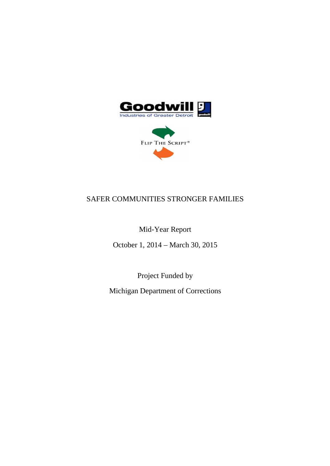

FLIP THE SCRIPT®

# SAFER COMMUNITIES STRONGER FAMILIES

Mid-Year Report

October 1, 2014 – March 30, 2015

Project Funded by

Michigan Department of Corrections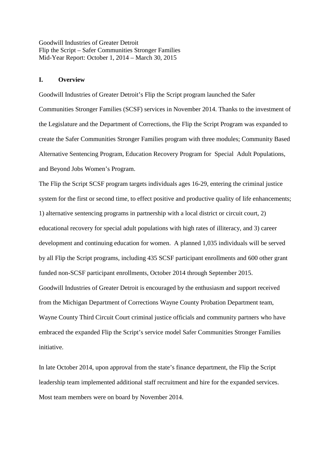#### **I. Overview**

Goodwill Industries of Greater Detroit's Flip the Script program launched the Safer Communities Stronger Families (SCSF) services in November 2014. Thanks to the investment of the Legislature and the Department of Corrections, the Flip the Script Program was expanded to create the Safer Communities Stronger Families program with three modules; Community Based Alternative Sentencing Program, Education Recovery Program for Special Adult Populations, and Beyond Jobs Women's Program.

The Flip the Script SCSF program targets individuals ages 16-29, entering the criminal justice system for the first or second time, to effect positive and productive quality of life enhancements; 1) alternative sentencing programs in partnership with a local district or circuit court, 2) educational recovery for special adult populations with high rates of illiteracy, and 3) career development and continuing education for women. A planned 1,035 individuals will be served by all Flip the Script programs, including 435 SCSF participant enrollments and 600 other grant funded non-SCSF participant enrollments, October 2014 through September 2015. Goodwill Industries of Greater Detroit is encouraged by the enthusiasm and support received from the Michigan Department of Corrections Wayne County Probation Department team, Wayne County Third Circuit Court criminal justice officials and community partners who have embraced the expanded Flip the Script's service model Safer Communities Stronger Families initiative.

In late October 2014, upon approval from the state's finance department, the Flip the Script leadership team implemented additional staff recruitment and hire for the expanded services. Most team members were on board by November 2014.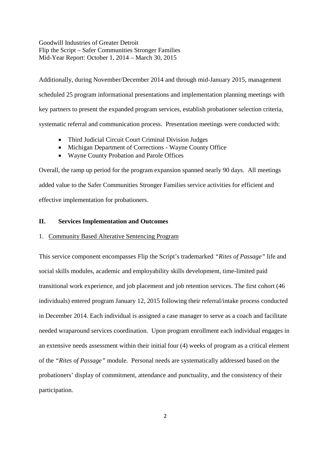Additionally, during November/December 2014 and through mid-January 2015, management scheduled 25 program informational presentations and implementation planning meetings with key partners to present the expanded program services, establish probationer selection criteria, systematic referral and communication process. Presentation meetings were conducted with:

- Third Judicial Circuit Court Criminal Division Judges
- Michigan Department of Corrections Wayne County Office
- Wayne County Probation and Parole Offices

Overall, the ramp up period for the program expansion spanned nearly 90 days. All meetings added value to the Safer Communities Stronger Families service activities for efficient and effective implementation for probationers.

## **II. Services Implementation and Outcomes**

#### 1. Community Based Alterative Sentencing Program

This service component encompasses Flip the Script's trademarked *"Rites of Passage"* life and social skills modules, academic and employability skills development, time-limited paid transitional work experience, and job placement and job retention services. The first cohort (46 individuals) entered program January 12, 2015 following their referral/intake process conducted in December 2014. Each individual is assigned a case manager to serve as a coach and facilitate needed wraparound services coordination. Upon program enrollment each individual engages in an extensive needs assessment within their initial four (4) weeks of program as a critical element of the *"Rites of Passage"* module. Personal needs are systematically addressed based on the probationers' display of commitment, attendance and punctuality, and the consistency of their participation.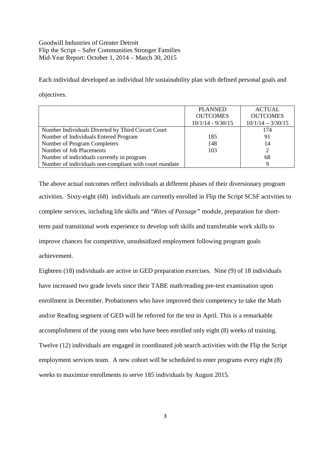Each individual developed an individual life sustainability plan with defined personal goals and objectives.

|                                                        | <b>PLANNED</b>      | <b>ACTUAL</b>       |
|--------------------------------------------------------|---------------------|---------------------|
|                                                        | <b>OUTCOMES</b>     | <b>OUTCOMES</b>     |
|                                                        | $10/1/14 - 9/30/15$ | $10/1/14 - 3/30/15$ |
| Number Individuals Diverted by Third Circuit Court     |                     | 174                 |
| Number of Individuals Entered Program                  | 185                 | 91                  |
| Number of Program Completers                           | 148                 | 14                  |
| Number of Job Placements                               | 103                 |                     |
| Number of individuals currently in program             |                     | 68                  |
| Number of individuals non-compliant with court mandate |                     |                     |

The above actual outcomes reflect individuals at different phases of their diversionary program activities. Sixty-eight (68) individuals are currently enrolled in Flip the Script SCSF activities to complete services, including life skills and "*Rites of Passage"* module, preparation for shortterm paid transitional work experience to develop soft skills and transferable work skills to improve chances for competitive, unsubsidized employment following program goals achievement.

Eighteen (18) individuals are active in GED preparation exercises. Nine (9) of 18 individuals have increased two grade levels since their TABE math/reading pre-test examination upon enrollment in December. Probationers who have improved their competency to take the Math and/or Reading segment of GED will be referred for the test in April. This is a remarkable accomplishment of the young men who have been enrolled only eight (8) weeks of training. Twelve (12) individuals are engaged in coordinated job search activities with the Flip the Script employment services team. A new cohort will be scheduled to enter programs every eight (8) weeks to maximize enrollments to serve 185 individuals by August 2015.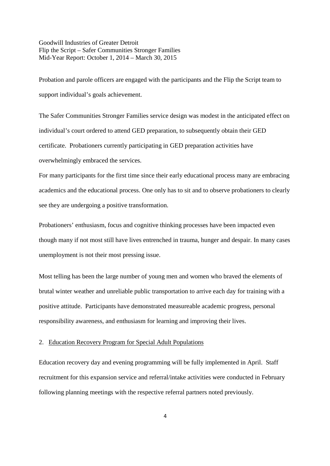Probation and parole officers are engaged with the participants and the Flip the Script team to support individual's goals achievement.

The Safer Communities Stronger Families service design was modest in the anticipated effect on individual's court ordered to attend GED preparation, to subsequently obtain their GED certificate. Probationers currently participating in GED preparation activities have overwhelmingly embraced the services.

For many participants for the first time since their early educational process many are embracing academics and the educational process. One only has to sit and to observe probationers to clearly see they are undergoing a positive transformation.

Probationers' enthusiasm, focus and cognitive thinking processes have been impacted even though many if not most still have lives entrenched in trauma, hunger and despair. In many cases unemployment is not their most pressing issue.

Most telling has been the large number of young men and women who braved the elements of brutal winter weather and unreliable public transportation to arrive each day for training with a positive attitude. Participants have demonstrated measureable academic progress, personal responsibility awareness, and enthusiasm for learning and improving their lives.

## 2. Education Recovery Program for Special Adult Populations

Education recovery day and evening programming will be fully implemented in April. Staff recruitment for this expansion service and referral/intake activities were conducted in February following planning meetings with the respective referral partners noted previously.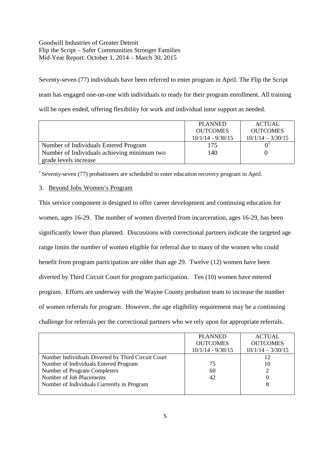Seventy-seven (77) individuals have been referred to enter program in April. The Flip the Script team has engaged one-on-one with individuals to ready for their program enrollment. All training will be open ended, offering flexibility for work and individual tutor support as needed.

|                                             | <b>PLANNED</b>      | ACTUAL              |
|---------------------------------------------|---------------------|---------------------|
|                                             | <b>OUTCOMES</b>     | <b>OUTCOMES</b>     |
|                                             | $10/1/14 - 9/30/15$ | $10/1/14 - 3/30/15$ |
| Number of Individuals Entered Program       | 175                 |                     |
| Number of Individuals achieving minimum two | 140                 |                     |
| grade levels increase                       |                     |                     |

<sup>1</sup> Seventy-seven (77) probationers are scheduled to enter education recovery program in April.

## 3. Beyond Jobs Women's Program

This service component is designed to offer career development and continuing education for women, ages 16-29. The number of women diverted from incarceration, ages 16-29, has been significantly lower than planned. Discussions with correctional partners indicate the targeted age range limits the number of women eligible for referral due to many of the women who could benefit from program participation are older than age 29. Twelve (12) women have been diverted by Third Circuit Court for program participation. Ten (10) women have entered program. Efforts are underway with the Wayne County probation team to increase the number of women referrals for program. However, the age eligibility requirement may be a continuing challenge for referrals per the correctional partners who we rely upon for appropriate referrals.

|                                                    | <b>PLANNED</b><br><b>OUTCOMES</b><br>$10/1/14 - 9/30/15$ | <b>ACTUAL</b><br><b>OUTCOMES</b><br>$10/1/14 - 3/30/15$ |
|----------------------------------------------------|----------------------------------------------------------|---------------------------------------------------------|
| Number Individuals Diverted by Third Circuit Court |                                                          | 12                                                      |
| Number of Individuals Entered Program              | 75                                                       | 10                                                      |
| Number of Program Completers                       | 60                                                       |                                                         |
| Number of Job Placements                           | 42                                                       |                                                         |
| Number of Individuals Currently in Program         |                                                          |                                                         |
|                                                    |                                                          |                                                         |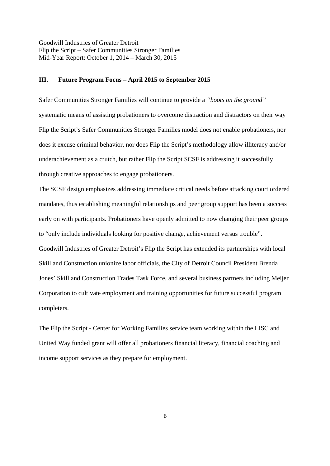#### **III. Future Program Focus – April 2015 to September 2015**

Safer Communities Stronger Families will continue to provide a *"boots on the ground"* systematic means of assisting probationers to overcome distraction and distractors on their way Flip the Script's Safer Communities Stronger Families model does not enable probationers, nor does it excuse criminal behavior, nor does Flip the Script's methodology allow illiteracy and/or underachievement as a crutch, but rather Flip the Script SCSF is addressing it successfully through creative approaches to engage probationers.

The SCSF design emphasizes addressing immediate critical needs before attacking court ordered mandates, thus establishing meaningful relationships and peer group support has been a success early on with participants. Probationers have openly admitted to now changing their peer groups to "only include individuals looking for positive change, achievement versus trouble". Goodwill Industries of Greater Detroit's Flip the Script has extended its partnerships with local Skill and Construction unionize labor officials, the City of Detroit Council President Brenda Jones' Skill and Construction Trades Task Force, and several business partners including Meijer Corporation to cultivate employment and training opportunities for future successful program completers.

The Flip the Script - Center for Working Families service team working within the LISC and United Way funded grant will offer all probationers financial literacy, financial coaching and income support services as they prepare for employment.

6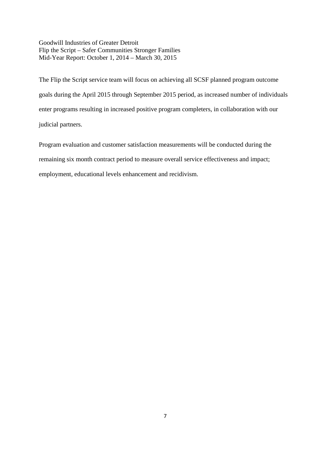The Flip the Script service team will focus on achieving all SCSF planned program outcome goals during the April 2015 through September 2015 period, as increased number of individuals enter programs resulting in increased positive program completers, in collaboration with our judicial partners.

Program evaluation and customer satisfaction measurements will be conducted during the remaining six month contract period to measure overall service effectiveness and impact; employment, educational levels enhancement and recidivism.